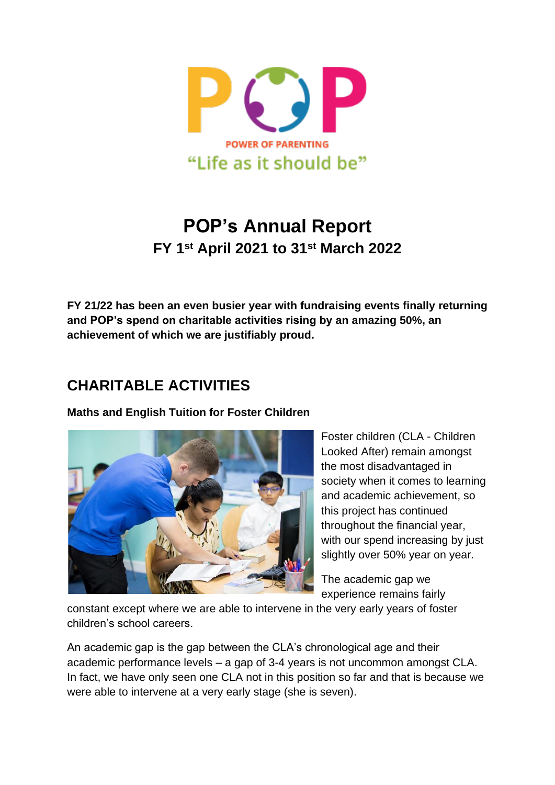

# **POP's Annual Report FY 1 st April 2021 to 31st March 2022**

**FY 21/22 has been an even busier year with fundraising events finally returning and POP's spend on charitable activities rising by an amazing 50%, an achievement of which we are justifiably proud.** 

## **CHARITABLE ACTIVITIES**

**Maths and English Tuition for Foster Children**



Foster children (CLA - Children Looked After) remain amongst the most disadvantaged in society when it comes to learning and academic achievement, so this project has continued throughout the financial year, with our spend increasing by just slightly over 50% year on year.

The academic gap we experience remains fairly

constant except where we are able to intervene in the very early years of foster children's school careers.

An academic gap is the gap between the CLA's chronological age and their academic performance levels – a gap of 3-4 years is not uncommon amongst CLA. In fact, we have only seen one CLA not in this position so far and that is because we were able to intervene at a very early stage (she is seven).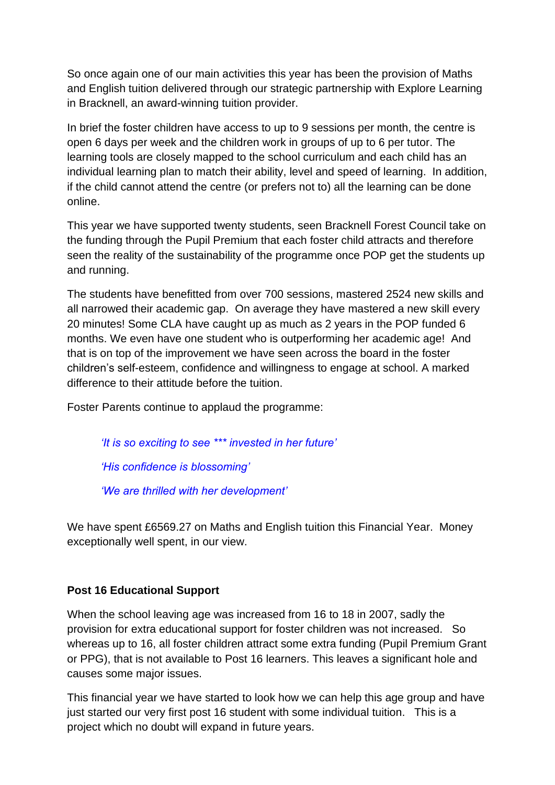So once again one of our main activities this year has been the provision of Maths and English tuition delivered through our strategic partnership with Explore Learning in Bracknell, an award-winning tuition provider.

In brief the foster children have access to up to 9 sessions per month, the centre is open 6 days per week and the children work in groups of up to 6 per tutor. The learning tools are closely mapped to the school curriculum and each child has an individual learning plan to match their ability, level and speed of learning. In addition, if the child cannot attend the centre (or prefers not to) all the learning can be done online.

This year we have supported twenty students, seen Bracknell Forest Council take on the funding through the Pupil Premium that each foster child attracts and therefore seen the reality of the sustainability of the programme once POP get the students up and running.

The students have benefitted from over 700 sessions, mastered 2524 new skills and all narrowed their academic gap. On average they have mastered a new skill every 20 minutes! Some CLA have caught up as much as 2 years in the POP funded 6 months. We even have one student who is outperforming her academic age! And that is on top of the improvement we have seen across the board in the foster children's self-esteem, confidence and willingness to engage at school. A marked difference to their attitude before the tuition.

Foster Parents continue to applaud the programme:

*'It is so exciting to see \*\*\* invested in her future' 'His confidence is blossoming' 'We are thrilled with her development'*

We have spent £6569.27 on Maths and English tuition this Financial Year. Money exceptionally well spent, in our view.

### **Post 16 Educational Support**

When the school leaving age was increased from 16 to 18 in 2007, sadly the provision for extra educational support for foster children was not increased. So whereas up to 16, all foster children attract some extra funding (Pupil Premium Grant or PPG), that is not available to Post 16 learners. This leaves a significant hole and causes some major issues.

This financial year we have started to look how we can help this age group and have just started our very first post 16 student with some individual tuition. This is a project which no doubt will expand in future years.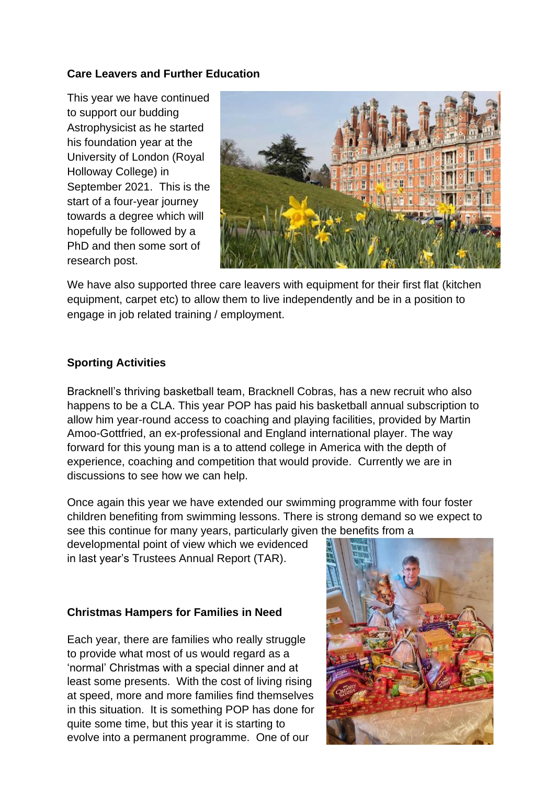### **Care Leavers and Further Education**

This year we have continued to support our budding Astrophysicist as he started his foundation year at the University of London (Royal Holloway College) in September 2021. This is the start of a four-year journey towards a degree which will hopefully be followed by a PhD and then some sort of research post.



We have also supported three care leavers with equipment for their first flat (kitchen equipment, carpet etc) to allow them to live independently and be in a position to engage in job related training / employment.

### **Sporting Activities**

Bracknell's thriving basketball team, Bracknell Cobras, has a new recruit who also happens to be a CLA. This year POP has paid his basketball annual subscription to allow him year-round access to coaching and playing facilities, provided by Martin Amoo-Gottfried, an ex-professional and England international player. The way forward for this young man is a to attend college in America with the depth of experience, coaching and competition that would provide. Currently we are in discussions to see how we can help.

Once again this year we have extended our swimming programme with four foster children benefiting from swimming lessons. There is strong demand so we expect to see this continue for many years, particularly given the benefits from a

developmental point of view which we evidenced in last year's Trustees Annual Report (TAR).

### **Christmas Hampers for Families in Need**

Each year, there are families who really struggle to provide what most of us would regard as a 'normal' Christmas with a special dinner and at least some presents. With the cost of living rising at speed, more and more families find themselves in this situation. It is something POP has done for quite some time, but this year it is starting to evolve into a permanent programme. One of our

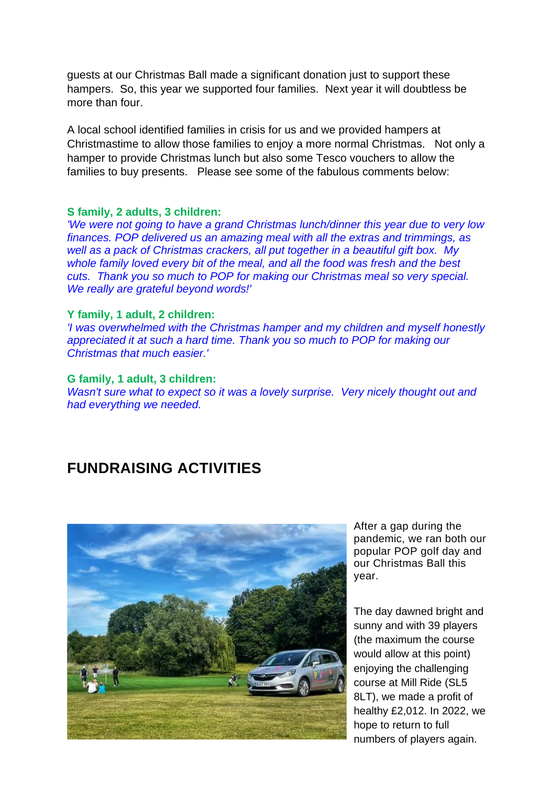guests at our Christmas Ball made a significant donation just to support these hampers. So, this year we supported four families. Next year it will doubtless be more than four.

A local school identified families in crisis for us and we provided hampers at Christmastime to allow those families to enjoy a more normal Christmas. Not only a hamper to provide Christmas lunch but also some Tesco vouchers to allow the families to buy presents. Please see some of the fabulous comments below:

#### **S family, 2 adults, 3 children:**

*'We were not going to have a grand Christmas lunch/dinner this year due to very low finances. POP delivered us an amazing meal with all the extras and trimmings, as well as a pack of Christmas crackers, all put together in a beautiful gift box. My whole family loved every bit of the meal, and all the food was fresh and the best cuts. Thank you so much to POP for making our Christmas meal so very special. We really are grateful beyond words!'*

#### **Y family, 1 adult, 2 children:**

*'I was overwhelmed with the Christmas hamper and my children and myself honestly appreciated it at such a hard time. Thank you so much to POP for making our Christmas that much easier.'*

#### **G family, 1 adult, 3 children:**

*Wasn't sure what to expect so it was a lovely surprise. Very nicely thought out and had everything we needed.*

## **FUNDRAISING ACTIVITIES**



After a gap during the pandemic, we ran both our popular POP golf day and our Christmas Ball this year.

The day dawned bright and sunny and with 39 players (the maximum the course would allow at this point) enjoying the challenging course at Mill Ride (SL5 8LT), we made a profit of healthy £2,012. In 2022, we hope to return to full numbers of players again.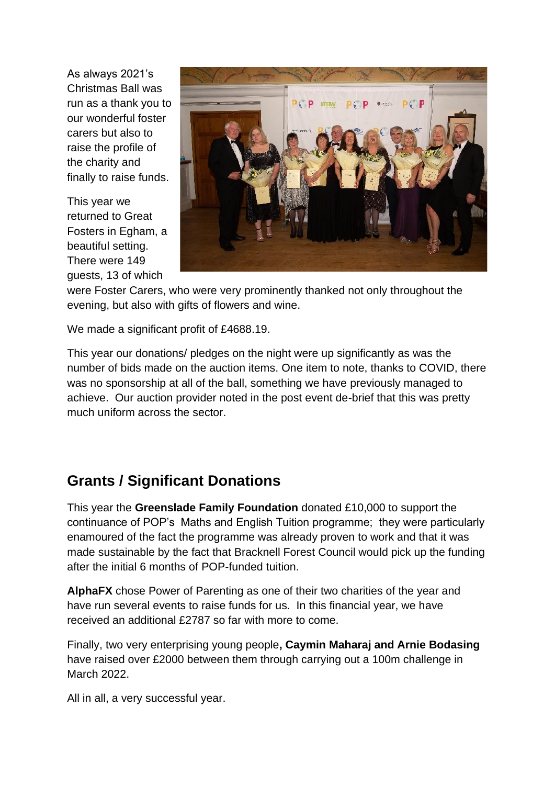As always 2021's Christmas Ball was run as a thank you to our wonderful foster carers but also to raise the profile of the charity and finally to raise funds.

This year we returned to Great Fosters in Egham, a beautiful setting. There were 149 guests, 13 of which



were Foster Carers, who were very prominently thanked not only throughout the evening, but also with gifts of flowers and wine.

We made a significant profit of £4688.19.

This year our donations/ pledges on the night were up significantly as was the number of bids made on the auction items. One item to note, thanks to COVID, there was no sponsorship at all of the ball, something we have previously managed to achieve. Our auction provider noted in the post event de-brief that this was pretty much uniform across the sector.

## **Grants / Significant Donations**

This year the **Greenslade Family Foundation** donated £10,000 to support the continuance of POP's Maths and English Tuition programme; they were particularly enamoured of the fact the programme was already proven to work and that it was made sustainable by the fact that Bracknell Forest Council would pick up the funding after the initial 6 months of POP-funded tuition.

**AlphaFX** chose Power of Parenting as one of their two charities of the year and have run several events to raise funds for us. In this financial year, we have received an additional £2787 so far with more to come.

Finally, two very enterprising young people**, Caymin Maharaj and Arnie Bodasing** have raised over £2000 between them through carrying out a 100m challenge in March 2022.

All in all, a very successful year.